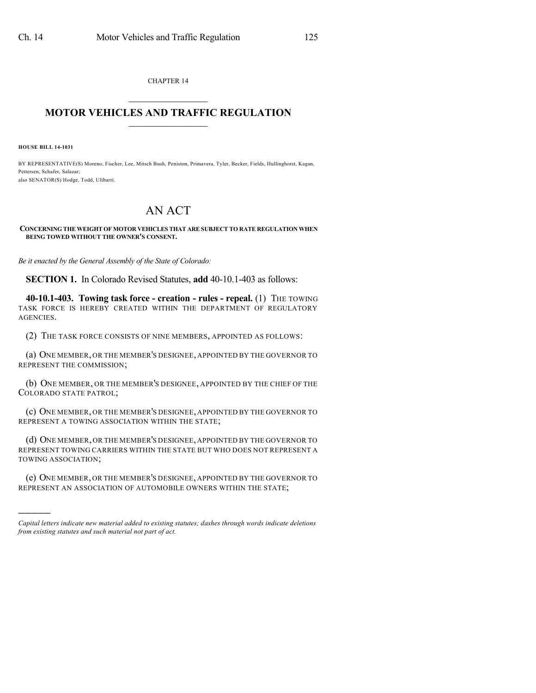CHAPTER 14  $\mathcal{L}_\text{max}$  . The set of the set of the set of the set of the set of the set of the set of the set of the set of the set of the set of the set of the set of the set of the set of the set of the set of the set of the set

## **MOTOR VEHICLES AND TRAFFIC REGULATION**  $\frac{1}{2}$  ,  $\frac{1}{2}$  ,  $\frac{1}{2}$  ,  $\frac{1}{2}$  ,  $\frac{1}{2}$  ,  $\frac{1}{2}$  ,  $\frac{1}{2}$

**HOUSE BILL 14-1031**

)))))

BY REPRESENTATIVE(S) Moreno, Fischer, Lee, Mitsch Bush, Peniston, Primavera, Tyler, Becker, Fields, Hullinghorst, Kagan, Pettersen, Schafer, Salazar; also SENATOR(S) Hodge, Todd, Ulibarri.

## AN ACT

**CONCERNING THE WEIGHT OF MOTOR VEHICLES THAT ARE SUBJECT TO RATE REGULATION WHEN BEING TOWED WITHOUT THE OWNER'S CONSENT.**

*Be it enacted by the General Assembly of the State of Colorado:*

**SECTION 1.** In Colorado Revised Statutes, **add** 40-10.1-403 as follows:

**40-10.1-403. Towing task force - creation - rules - repeal.** (1) THE TOWING TASK FORCE IS HEREBY CREATED WITHIN THE DEPARTMENT OF REGULATORY AGENCIES.

(2) THE TASK FORCE CONSISTS OF NINE MEMBERS, APPOINTED AS FOLLOWS:

(a) ONE MEMBER, OR THE MEMBER'S DESIGNEE, APPOINTED BY THE GOVERNOR TO REPRESENT THE COMMISSION;

(b) ONE MEMBER, OR THE MEMBER'S DESIGNEE, APPOINTED BY THE CHIEF OF THE COLORADO STATE PATROL;

(c) ONE MEMBER, OR THE MEMBER'S DESIGNEE, APPOINTED BY THE GOVERNOR TO REPRESENT A TOWING ASSOCIATION WITHIN THE STATE;

(d) ONE MEMBER, OR THE MEMBER'S DESIGNEE, APPOINTED BY THE GOVERNOR TO REPRESENT TOWING CARRIERS WITHIN THE STATE BUT WHO DOES NOT REPRESENT A TOWING ASSOCIATION;

(e) ONE MEMBER, OR THE MEMBER'S DESIGNEE, APPOINTED BY THE GOVERNOR TO REPRESENT AN ASSOCIATION OF AUTOMOBILE OWNERS WITHIN THE STATE;

*Capital letters indicate new material added to existing statutes; dashes through words indicate deletions from existing statutes and such material not part of act.*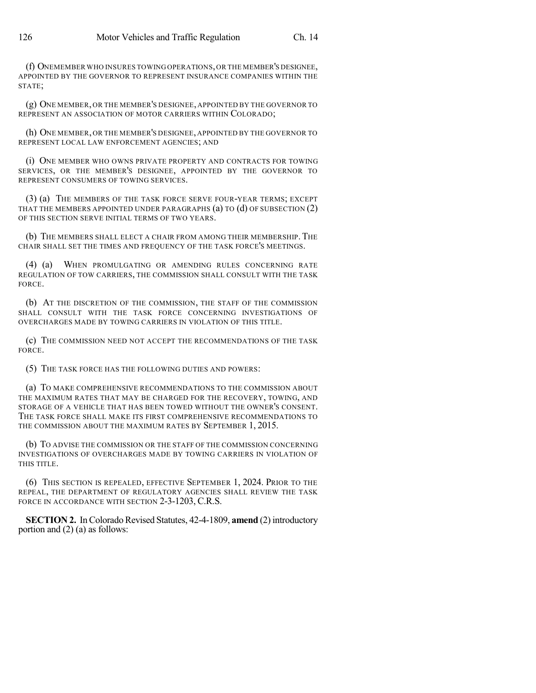(f) ONEMEMBER WHO INSURES TOWING OPERATIONS,OR THE MEMBER'S DESIGNEE, APPOINTED BY THE GOVERNOR TO REPRESENT INSURANCE COMPANIES WITHIN THE STATE;

(g) ONE MEMBER, OR THE MEMBER'S DESIGNEE, APPOINTED BY THE GOVERNOR TO REPRESENT AN ASSOCIATION OF MOTOR CARRIERS WITHIN COLORADO;

(h) ONE MEMBER, OR THE MEMBER'S DESIGNEE, APPOINTED BY THE GOVERNOR TO REPRESENT LOCAL LAW ENFORCEMENT AGENCIES; AND

(i) ONE MEMBER WHO OWNS PRIVATE PROPERTY AND CONTRACTS FOR TOWING SERVICES, OR THE MEMBER'S DESIGNEE, APPOINTED BY THE GOVERNOR TO REPRESENT CONSUMERS OF TOWING SERVICES.

(3) (a) THE MEMBERS OF THE TASK FORCE SERVE FOUR-YEAR TERMS; EXCEPT THAT THE MEMBERS APPOINTED UNDER PARAGRAPHS  $(a)$  TO  $(d)$  OF SUBSECTION  $(2)$ OF THIS SECTION SERVE INITIAL TERMS OF TWO YEARS.

(b) THE MEMBERS SHALL ELECT A CHAIR FROM AMONG THEIR MEMBERSHIP. THE CHAIR SHALL SET THE TIMES AND FREQUENCY OF THE TASK FORCE'S MEETINGS.

(4) (a) WHEN PROMULGATING OR AMENDING RULES CONCERNING RATE REGULATION OF TOW CARRIERS, THE COMMISSION SHALL CONSULT WITH THE TASK FORCE.

(b) AT THE DISCRETION OF THE COMMISSION, THE STAFF OF THE COMMISSION SHALL CONSULT WITH THE TASK FORCE CONCERNING INVESTIGATIONS OF OVERCHARGES MADE BY TOWING CARRIERS IN VIOLATION OF THIS TITLE.

(c) THE COMMISSION NEED NOT ACCEPT THE RECOMMENDATIONS OF THE TASK FORCE.

(5) THE TASK FORCE HAS THE FOLLOWING DUTIES AND POWERS:

(a) TO MAKE COMPREHENSIVE RECOMMENDATIONS TO THE COMMISSION ABOUT THE MAXIMUM RATES THAT MAY BE CHARGED FOR THE RECOVERY, TOWING, AND STORAGE OF A VEHICLE THAT HAS BEEN TOWED WITHOUT THE OWNER'S CONSENT. THE TASK FORCE SHALL MAKE ITS FIRST COMPREHENSIVE RECOMMENDATIONS TO THE COMMISSION ABOUT THE MAXIMUM RATES BY SEPTEMBER 1, 2015.

(b) TO ADVISE THE COMMISSION OR THE STAFF OF THE COMMISSION CONCERNING INVESTIGATIONS OF OVERCHARGES MADE BY TOWING CARRIERS IN VIOLATION OF THIS TITLE.

(6) THIS SECTION IS REPEALED, EFFECTIVE SEPTEMBER 1, 2024. PRIOR TO THE REPEAL, THE DEPARTMENT OF REGULATORY AGENCIES SHALL REVIEW THE TASK FORCE IN ACCORDANCE WITH SECTION 2-3-1203, C.R.S.

**SECTION 2.** In Colorado Revised Statutes, 42-4-1809, **amend** (2) introductory portion and (2) (a) as follows: